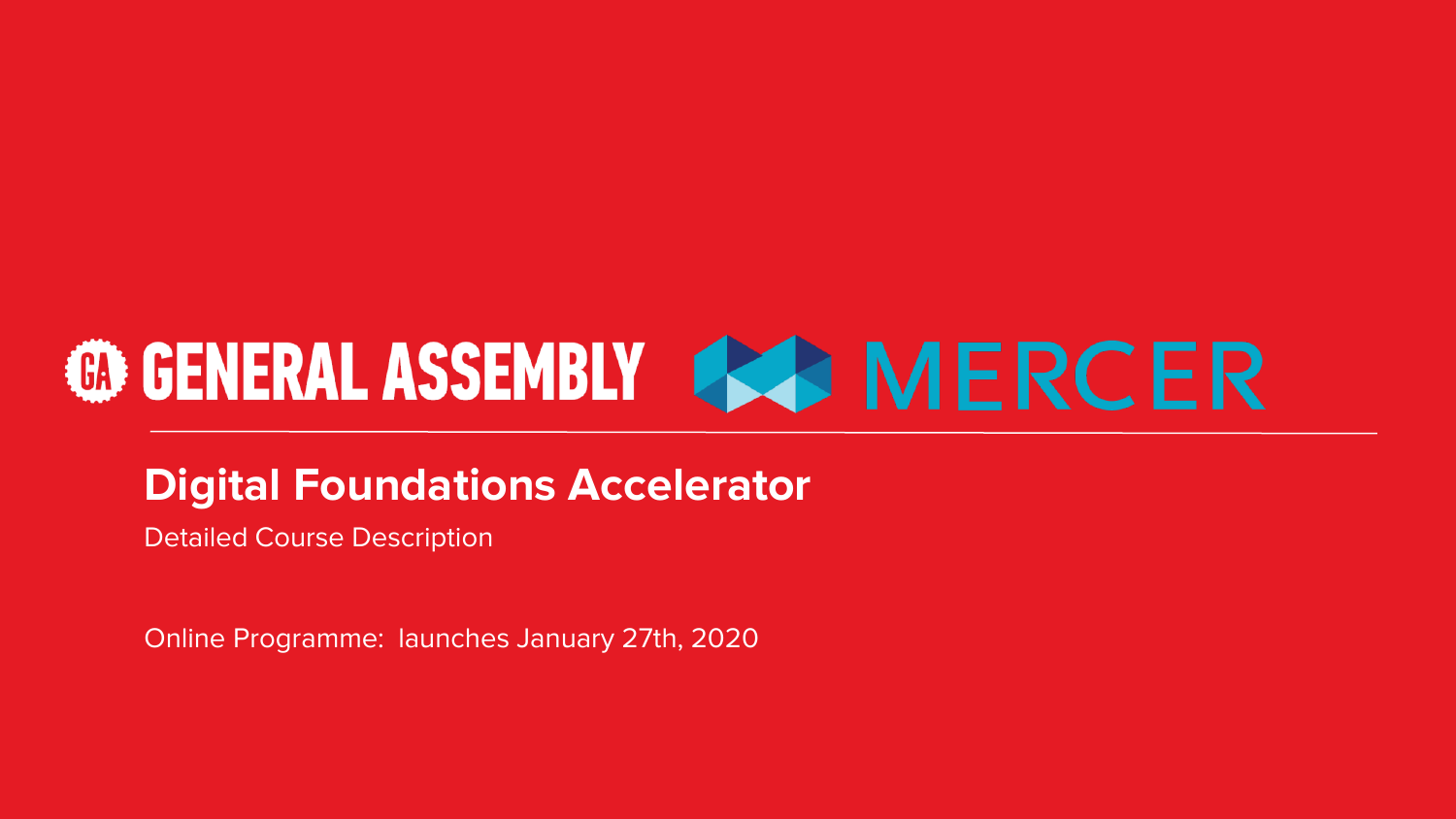# **@GENERAL ASSEMBLY 444 MERCER**

### **Digital Foundations Accelerator**

Detailed Course Description

Online Programme: launches January 27th, 2020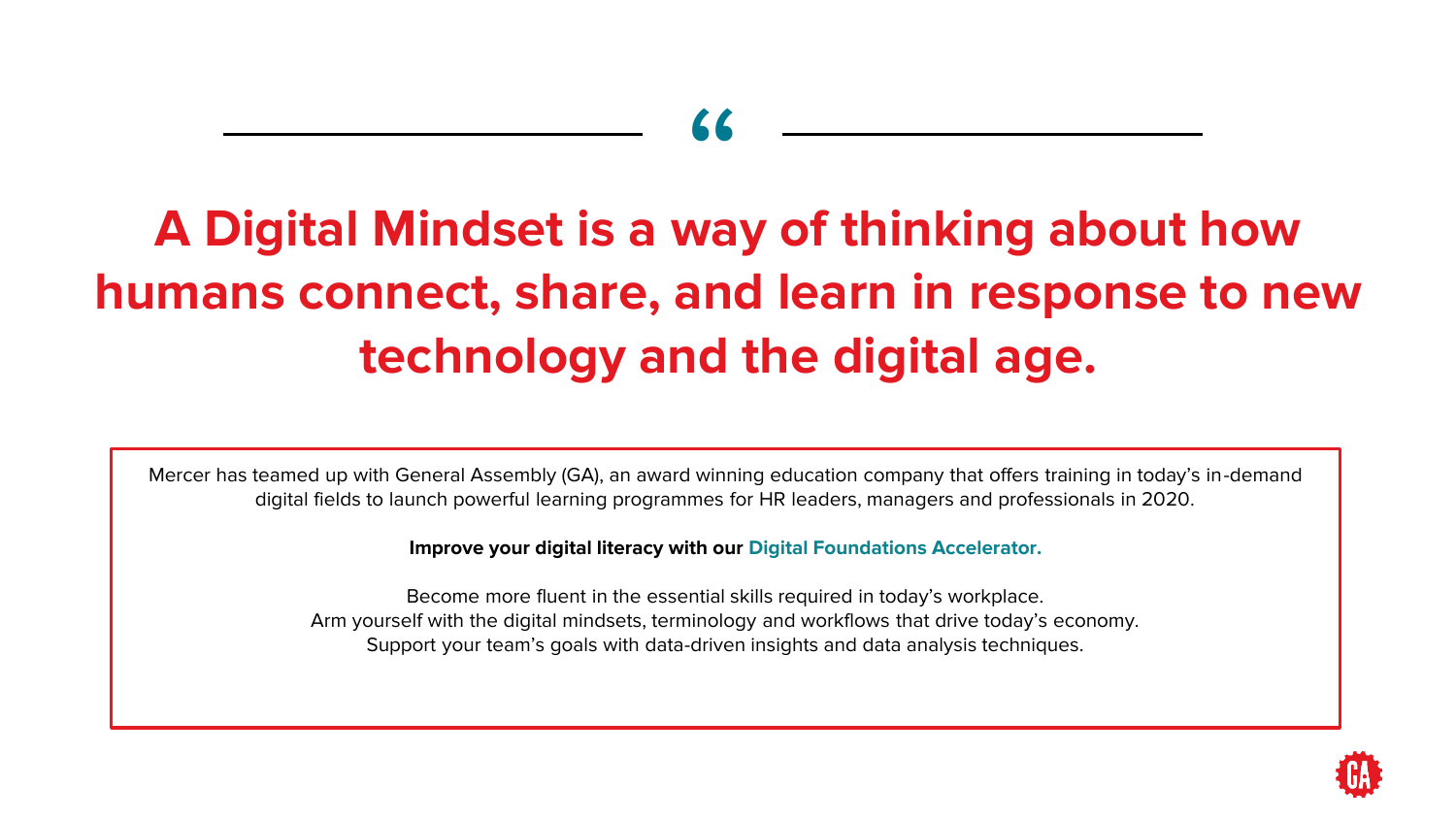# "

## **A Digital Mindset is a way of thinking about how humans connect, share, and learn in response to new technology and the digital age.**

Mercer has teamed up with General Assembly (GA), an award winning education company that offers training in today's in-demand digital fields to launch powerful learning programmes for HR leaders, managers and professionals in 2020.

**Improve your digital literacy with our Digital Foundations Accelerator.**

Become more fluent in the essential skills required in today's workplace. Arm yourself with the digital mindsets, terminology and workflows that drive today's economy. Support your team's goals with data-driven insights and data analysis techniques.

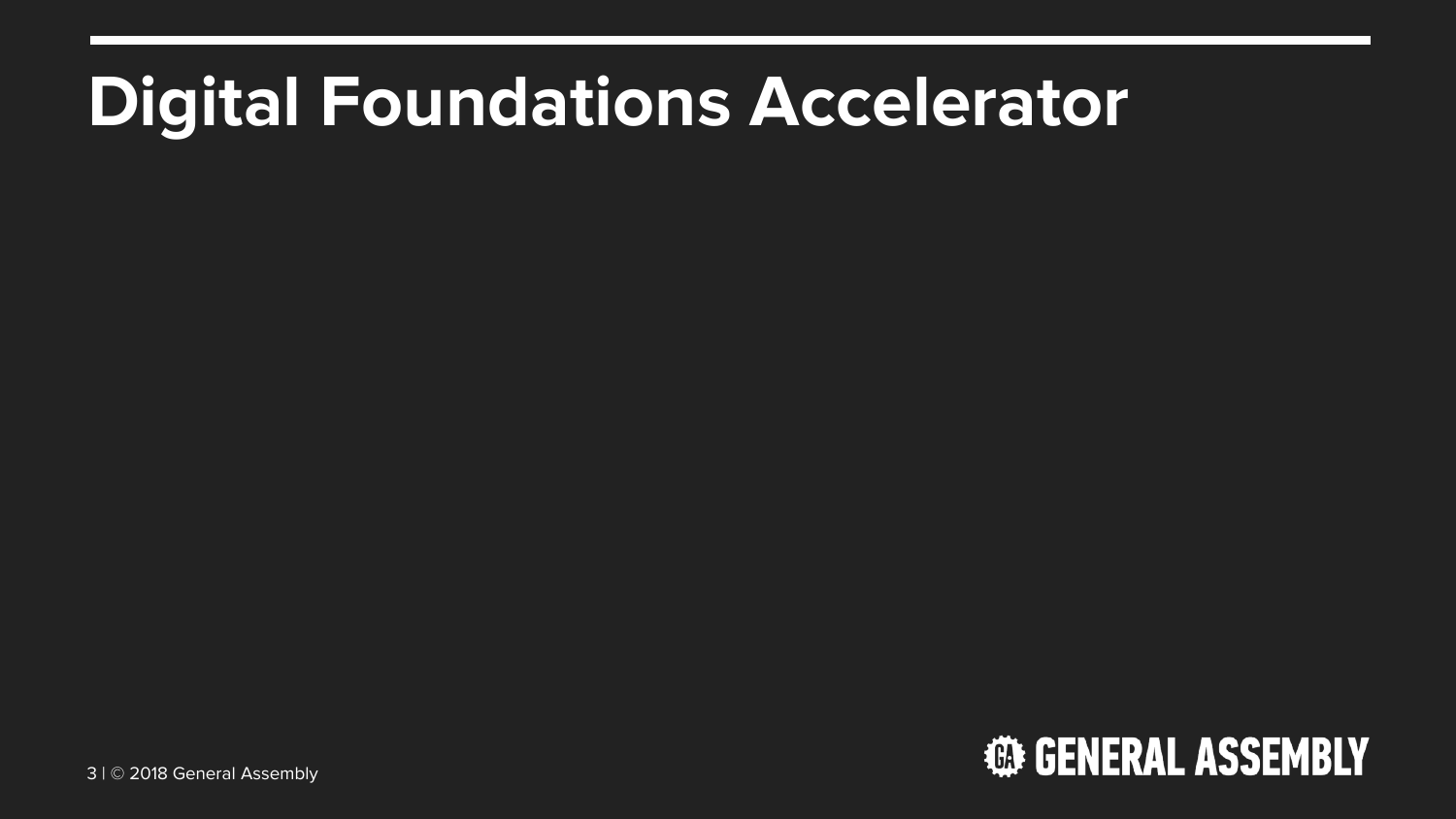# **Digital Foundations Accelerator**

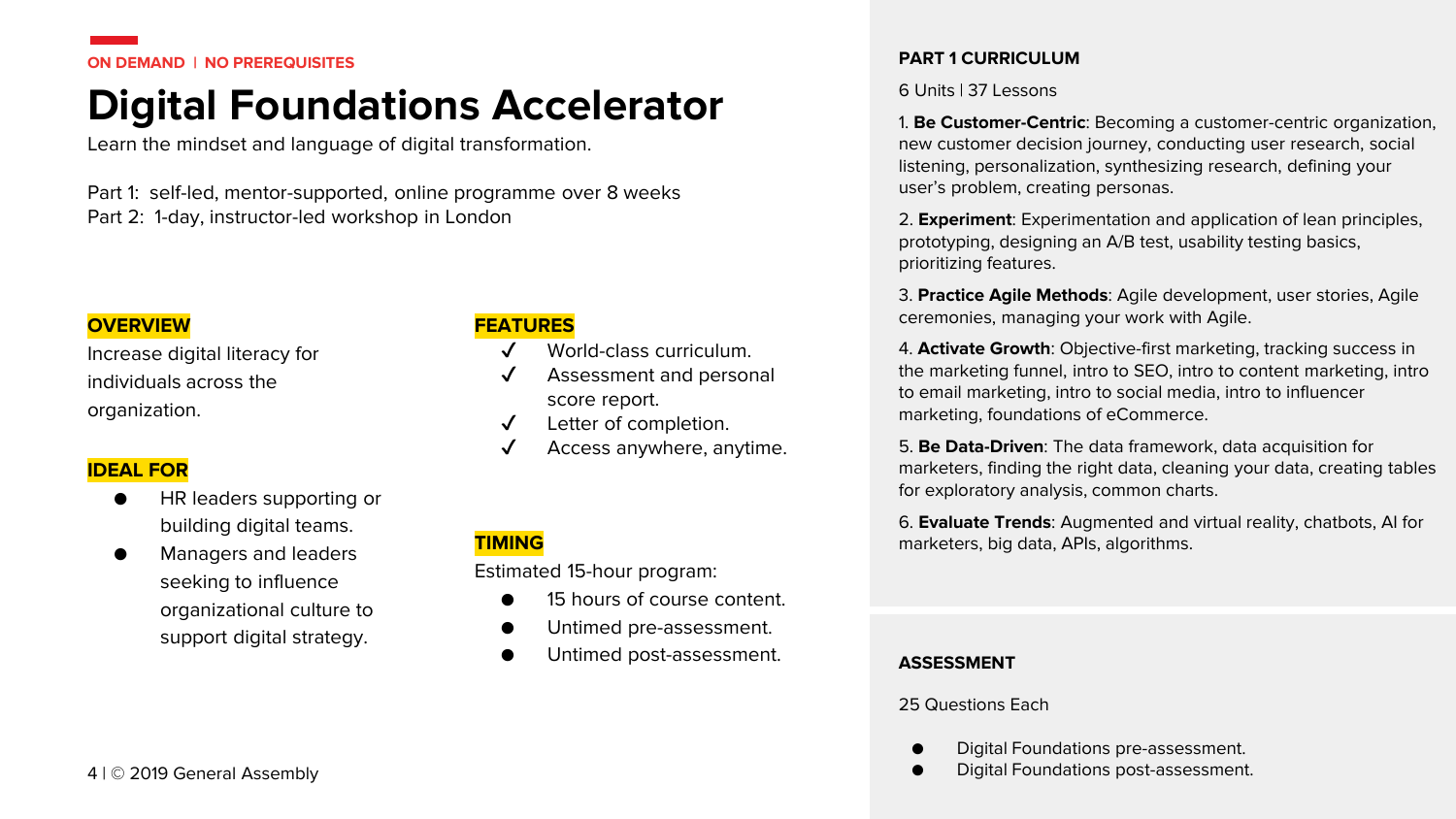#### **ON DEMAND | NO PREREQUISITES**

### **Digital Foundations Accelerator**

Learn the mindset and language of digital transformation.

Part 1: self-led, mentor-supported, online programme over 8 weeks Part 2: 1-day, instructor-led workshop in London

#### **OVERVIEW**

Increase digital literacy for individuals across the organization.

#### **IDEAL FOR**

- HR leaders supporting or building digital teams.
- Managers and leaders seeking to influence organizational culture to support digital strategy.

#### **FEATURES**

- World-class curriculum.
- Assessment and personal score report.
- ✔ Letter of completion.
- Access anywhere, anytime.

#### **TIMING**

Estimated 15-hour program:

- 15 hours of course content.
- Untimed pre-assessment.
- Untimed post-assessment.

#### **PART 1 CURRICULUM**

#### 6 Units | 37 Lessons

1. **Be Customer-Centric**: Becoming a customer-centric organization, new customer decision journey, conducting user research, social listening, personalization, synthesizing research, defining your user's problem, creating personas.

2. **Experiment**: Experimentation and application of lean principles, prototyping, designing an A/B test, usability testing basics, prioritizing features.

3. **Practice Agile Methods**: Agile development, user stories, Agile ceremonies, managing your work with Agile.

4. **Activate Growth**: Objective-first marketing, tracking success in the marketing funnel, intro to SEO, intro to content marketing, intro to email marketing, intro to social media, intro to influencer marketing, foundations of eCommerce.

5. **Be Data-Driven**: The data framework, data acquisition for marketers, finding the right data, cleaning your data, creating tables for exploratory analysis, common charts.

6. **Evaluate Trends**: Augmented and virtual reality, chatbots, AI for marketers, big data, APIs, algorithms.

#### **ASSESSMENT**

25 Questions Each

- Digital Foundations pre-assessment.
- 4 | © 2019 General Assembly and the state of the state of the state of the Digital Foundations post-assessment.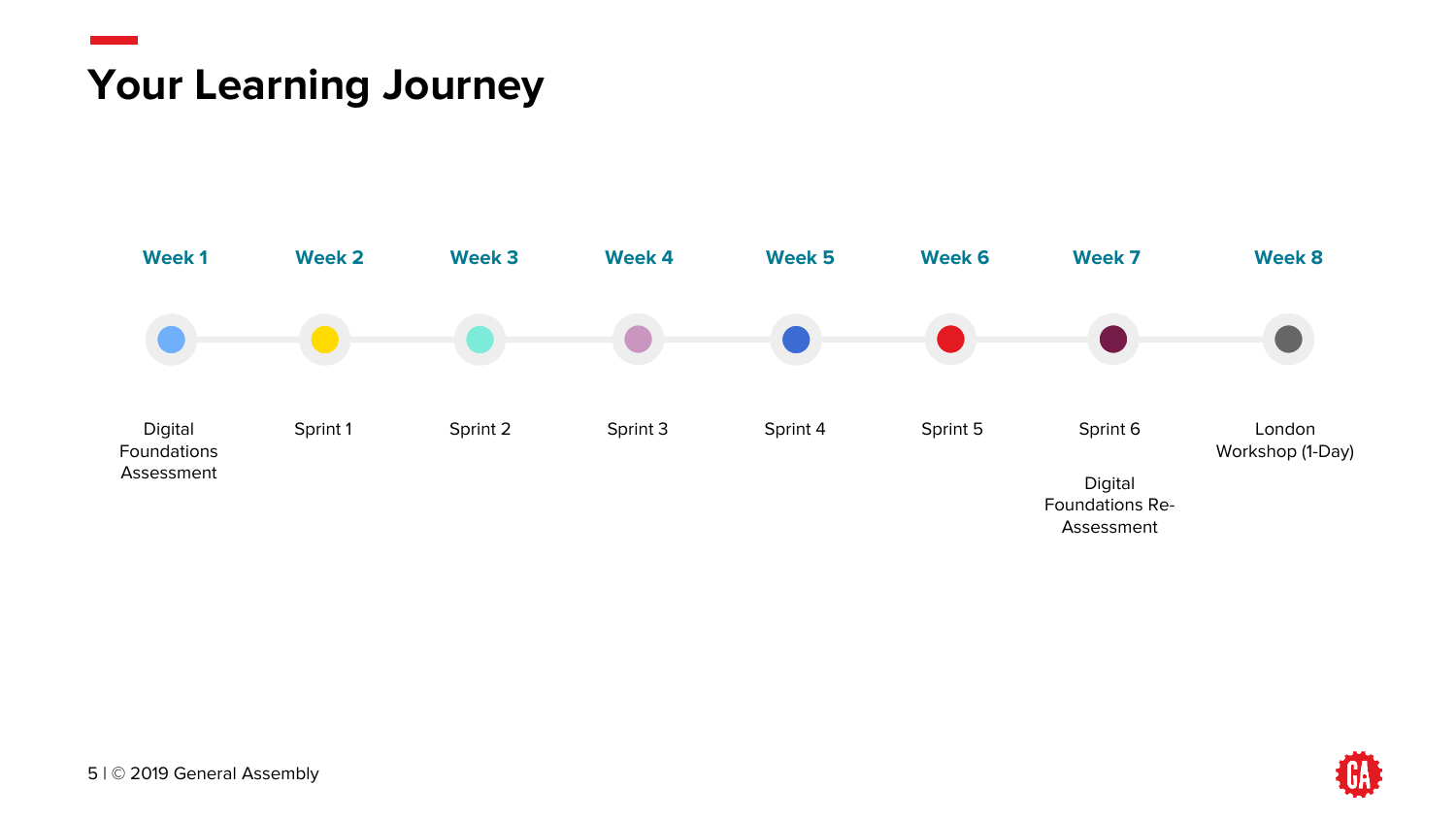### **Your Learning Journey**



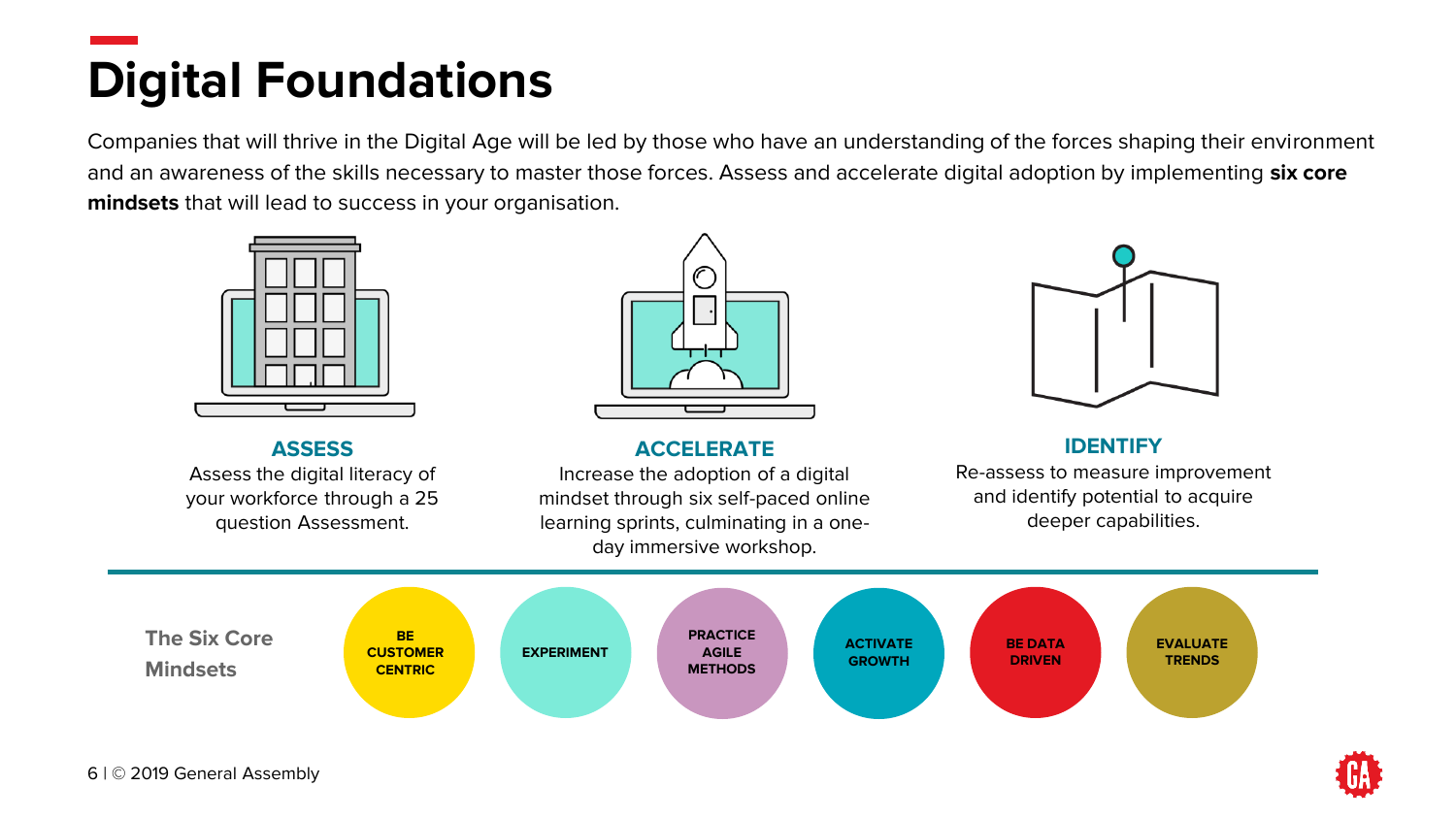# **Digital Foundations**

Companies that will thrive in the Digital Age will be led by those who have an understanding of the forces shaping their environment and an awareness of the skills necessary to master those forces. Assess and accelerate digital adoption by implementing **six core mindsets** that will lead to success in your organisation.



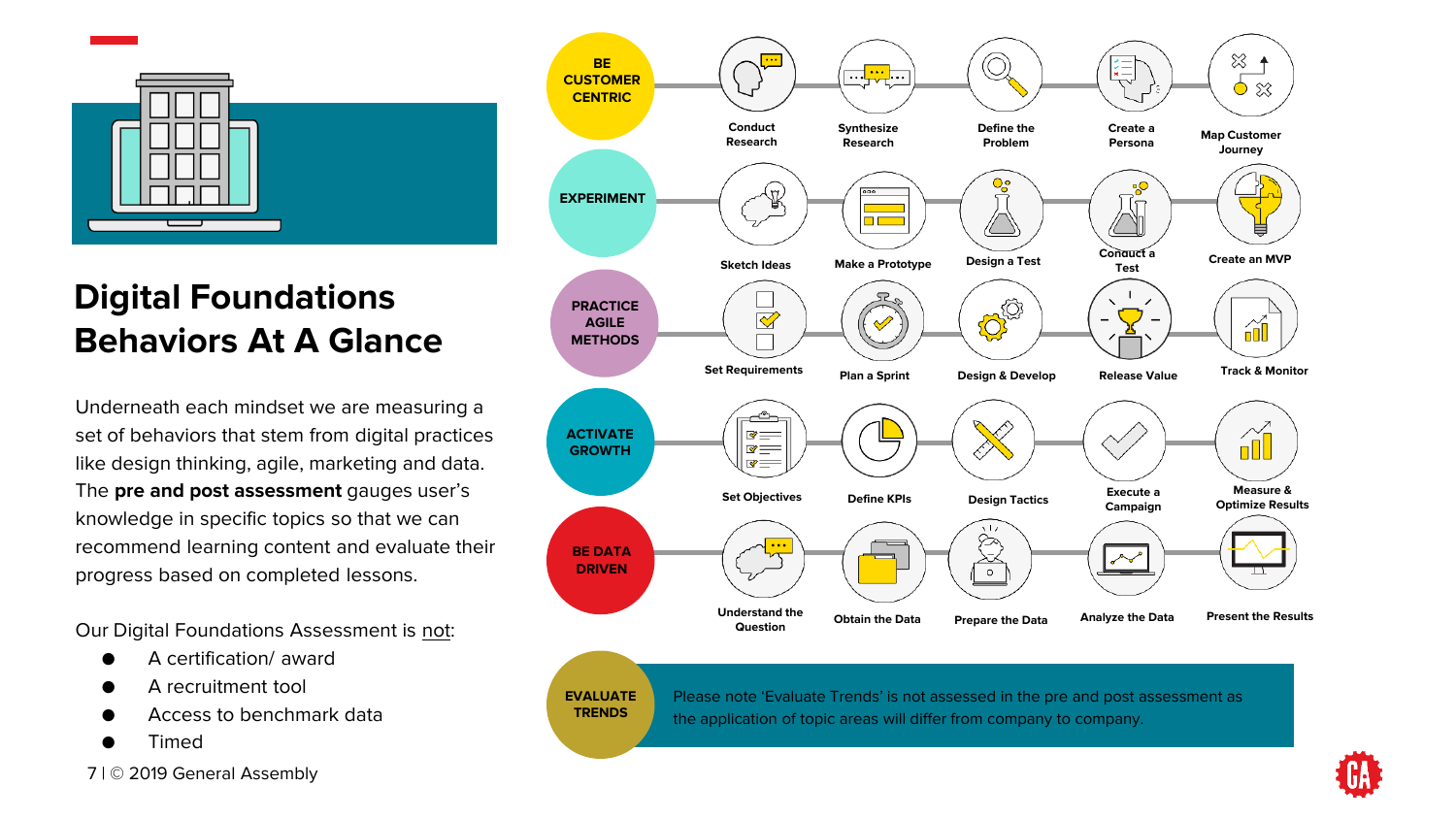

### **Digital Foundations Behaviors At A Glance**

Underneath each mindset we are measuring a set of behaviors that stem from digital practices like design thinking, agile, marketing and data. The **pre and post assessment** gauges user's knowledge in specific topics so that we can recommend learning content and evaluate their progress based on completed lessons.

Our Digital Foundations Assessment is not:

- A certification/ award
- A recruitment tool
- Access to benchmark data
- **Timed**





#### **EVALUATE TRENDS**

Please note 'Evaluate Trends' is not assessed in the pre and post assessment as the application of topic areas will differ from company to company.

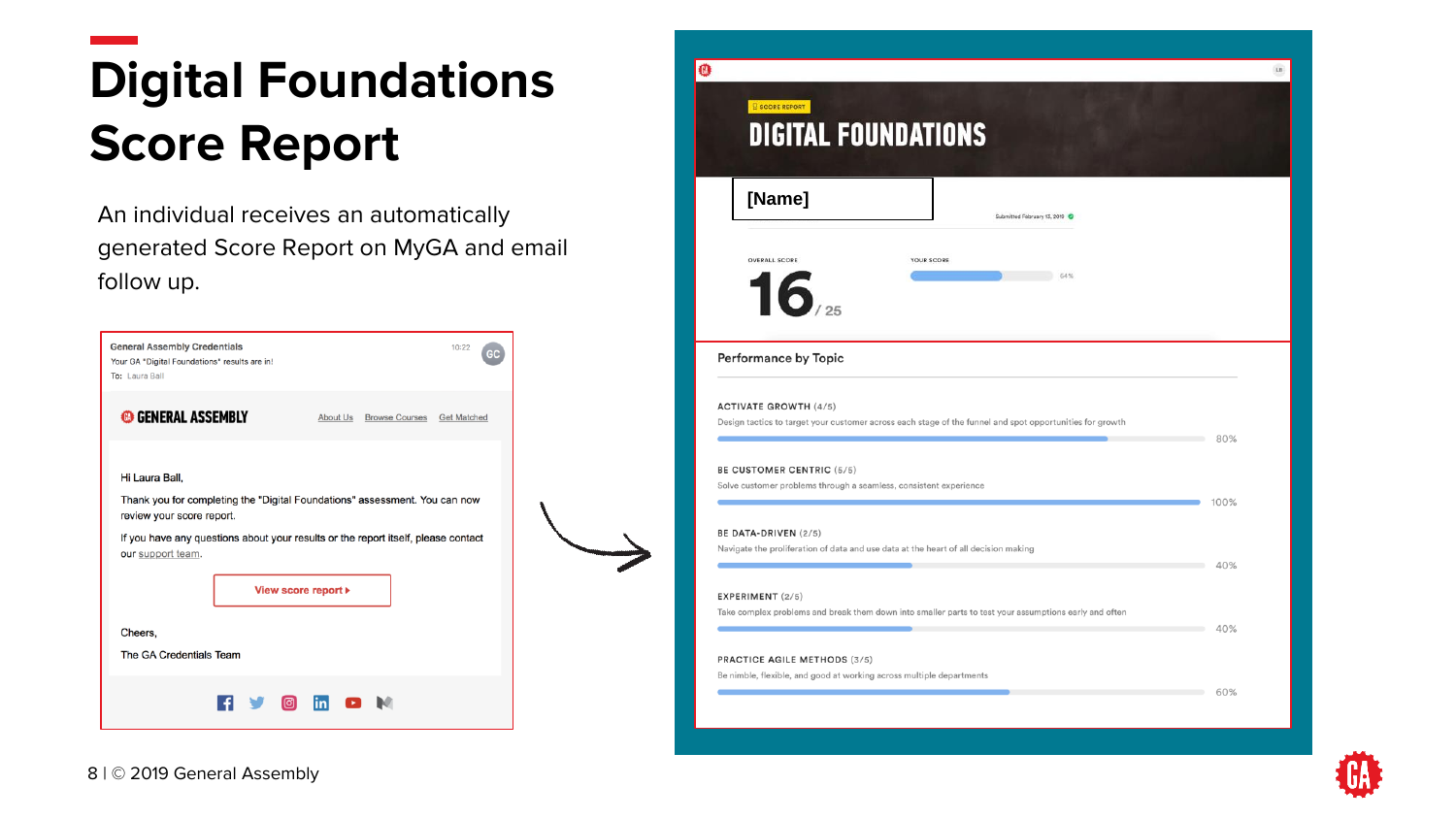# **Digital Foundations Score Report**

An individual receives an automatically generated Score Report on MyGA and email follow up.

| <b>General Assembly Credentials</b><br>Your GA "Digital Foundations" results are in!<br>To: Laura Ball | 10:22                                                                                                                                                                                                      |
|--------------------------------------------------------------------------------------------------------|------------------------------------------------------------------------------------------------------------------------------------------------------------------------------------------------------------|
| <b>GENERAL ASSEMBLY</b>                                                                                | About Us<br>Browse Courses Get Matched                                                                                                                                                                     |
| Hi Laura Ball,<br>review your score report.<br>our support team.                                       | Thank you for completing the "Digital Foundations" assessment. You can now<br>If you have any questions about your results or the report itself, please contact<br>View score report $\blacktriangleright$ |
| Cheers.<br>The GA Credentials Team                                                                     |                                                                                                                                                                                                            |
|                                                                                                        | $\boxed{\circledcirc}$ in                                                                                                                                                                                  |



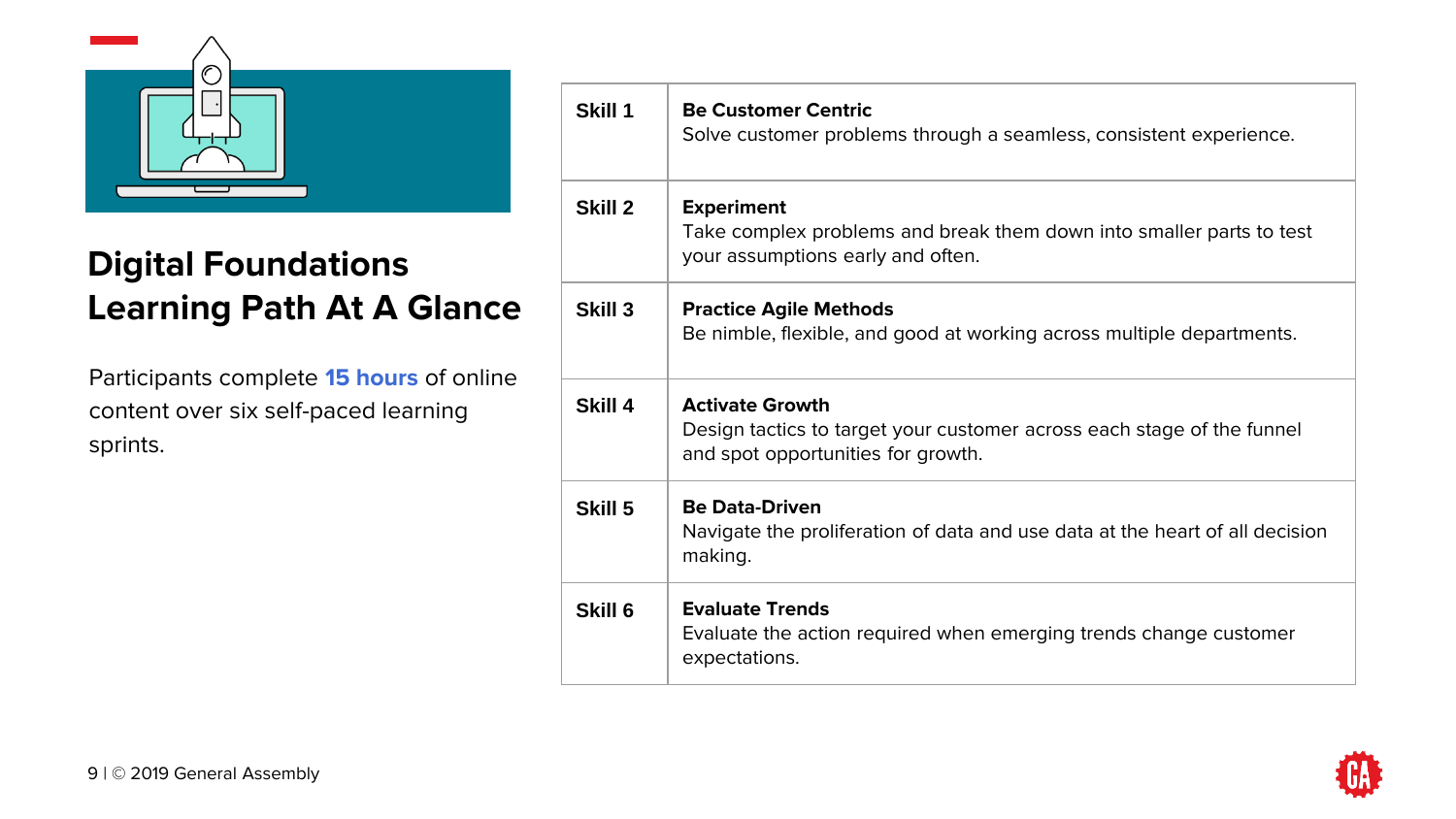

### **Digital Foundations Learning Path At A Glance**

Participants complete **15 hours** of online content over six self-paced learning sprints.

| Skill 1 | <b>Be Customer Centric</b><br>Solve customer problems through a seamless, consistent experience.                                       |
|---------|----------------------------------------------------------------------------------------------------------------------------------------|
| Skill 2 | <b>Experiment</b><br>Take complex problems and break them down into smaller parts to test<br>your assumptions early and often.         |
| Skill 3 | <b>Practice Agile Methods</b><br>Be nimble, flexible, and good at working across multiple departments.                                 |
| Skill 4 | <b>Activate Growth</b><br>Design tactics to target your customer across each stage of the funnel<br>and spot opportunities for growth. |
| Skill 5 | <b>Be Data-Driven</b><br>Navigate the proliferation of data and use data at the heart of all decision<br>making.                       |
| Skill 6 | <b>Evaluate Trends</b><br>Evaluate the action required when emerging trends change customer<br>expectations.                           |

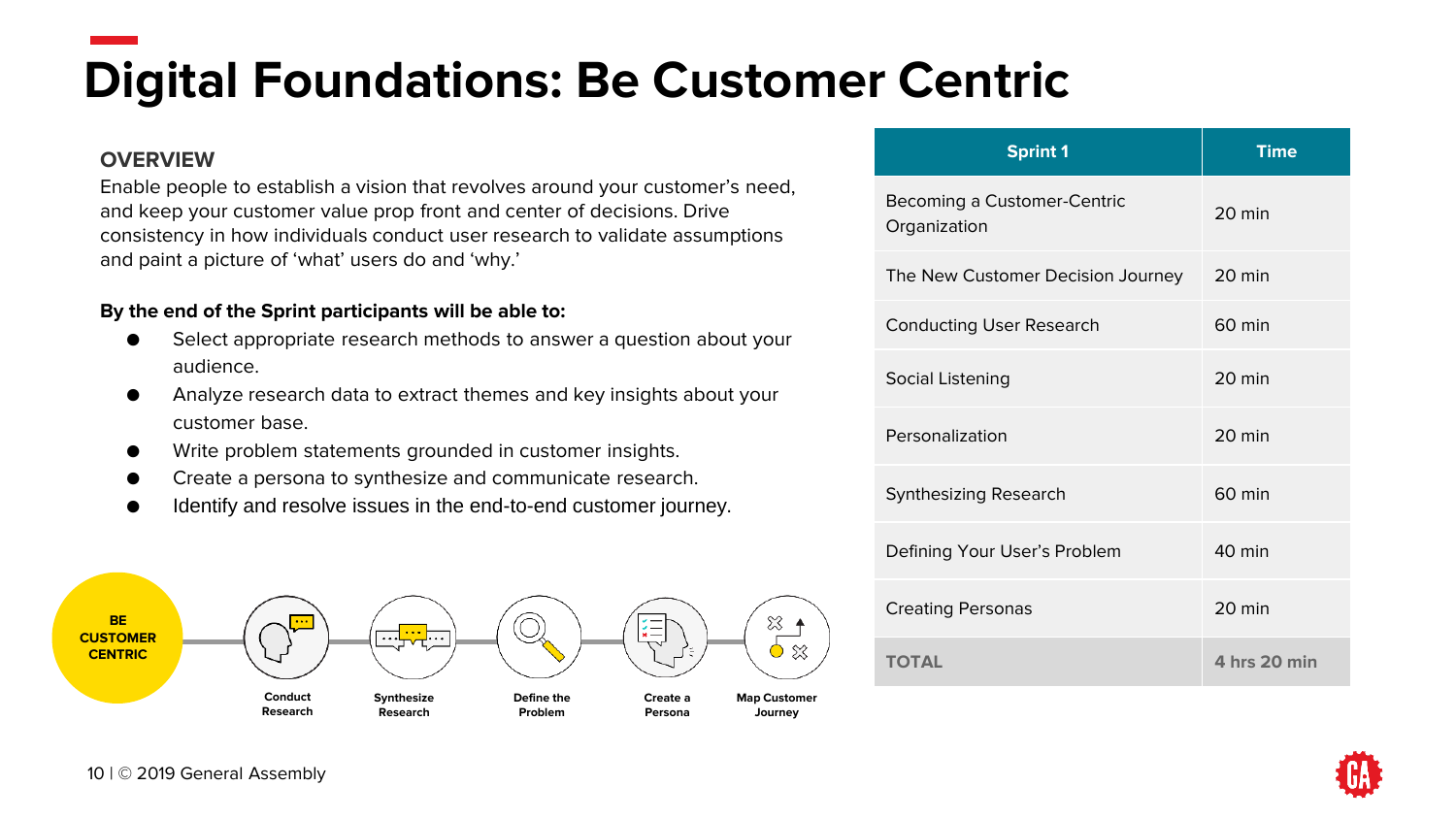# **Digital Foundations: Be Customer Centric**

#### **OVERVIEW**

Enable people to establish a vision that revolves around your customer's need, and keep your customer value prop front and center of decisions. Drive consistency in how individuals conduct user research to validate assumptions and paint a picture of 'what' users do and 'why.'

- Select appropriate research methods to answer a question about your audience.
- Analyze research data to extract themes and key insights about your customer base.
- Write problem statements grounded in customer insights.
- Create a persona to synthesize and communicate research.
- Identify and resolve issues in the end-to-end customer journey.



| <b>Sprint 1</b>                             | <b>Time</b>      |
|---------------------------------------------|------------------|
| Becoming a Customer-Centric<br>Organization | $20$ min         |
| The New Customer Decision Journey           | 20 min           |
| <b>Conducting User Research</b>             | $60$ min         |
| Social Listening                            | $20 \text{ min}$ |
| Personalization                             | $20 \text{ min}$ |
| Synthesizing Research                       | $60$ min         |
| Defining Your User's Problem                | $40$ min         |
| <b>Creating Personas</b>                    | $20 \text{ min}$ |
| <b>TOTAL</b>                                | 4 hrs 20 min     |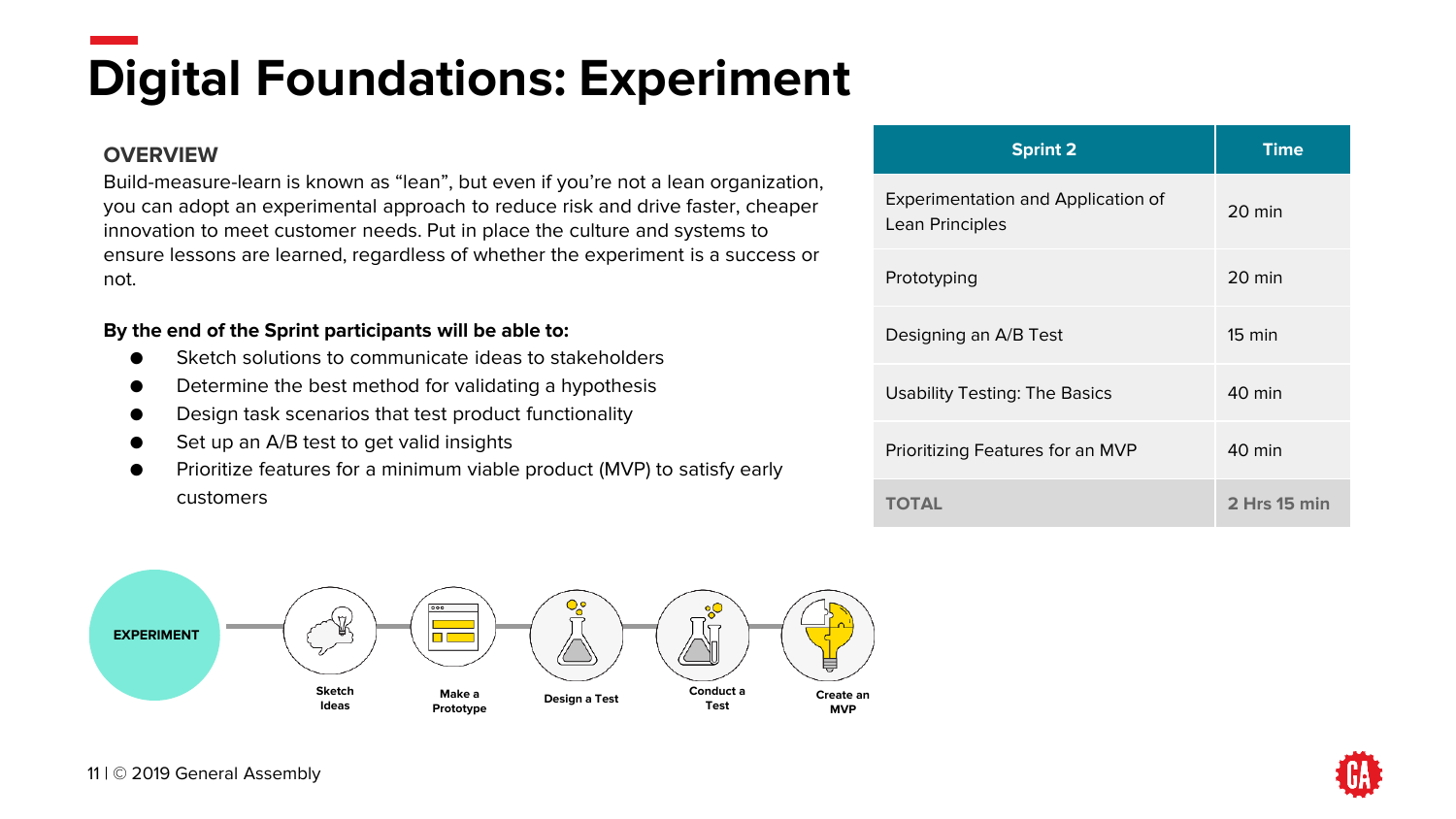# **Digital Foundations: Experiment**

#### **OVERVIEW**

Build-measure-learn is known as "lean", but even if you're not a lean organization, you can adopt an experimental approach to reduce risk and drive faster, cheaper innovation to meet customer needs. Put in place the culture and systems to ensure lessons are learned, regardless of whether the experiment is a success or not.

- Sketch solutions to communicate ideas to stakeholders
- Determine the best method for validating a hypothesis
- Design task scenarios that test product functionality
- Set up an A/B test to get valid insights
- Prioritize features for a minimum viable product (MVP) to satisfy early customers



| <b>Sprint 2</b>                                       | <b>Time</b>      |
|-------------------------------------------------------|------------------|
| Experimentation and Application of<br>Lean Principles | 20 min           |
| Prototyping                                           | $20$ min         |
| Designing an A/B Test                                 | $15 \text{ min}$ |
| <b>Usability Testing: The Basics</b>                  | $40 \text{ min}$ |
| Prioritizing Features for an MVP                      | 40 min           |
| <b>TOTAL</b>                                          | 2 Hrs 15 min     |

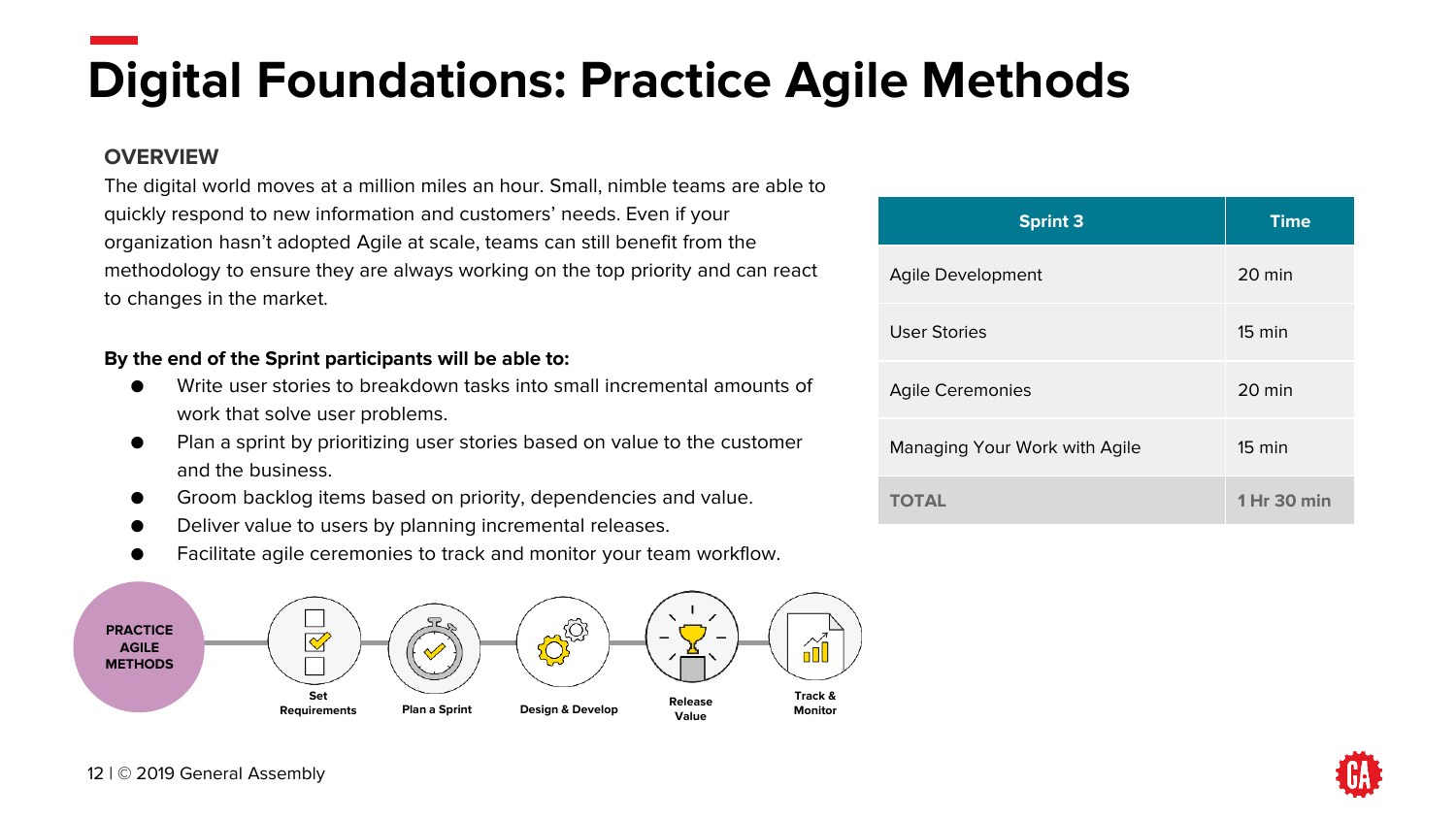**Digital Foundations: Practice Agile Methods** 

#### **OVERVIEW**

The digital world moves at a million miles an hour. Small, nimble teams are able to quickly respond to new information and customers' needs. Even if your organization hasn't adopted Agile at scale, teams can still benefit from the methodology to ensure they are always working on the top priority and can react to changes in the market.

- Write user stories to breakdown tasks into small incremental amounts of work that solve user problems.
- Plan a sprint by prioritizing user stories based on value to the customer and the business.
- Groom backlog items based on priority, dependencies and value.
- Deliver value to users by planning incremental releases.
- Facilitate agile ceremonies to track and monitor your team workflow.



| <b>Sprint 3</b>               | <b>Time</b>      |
|-------------------------------|------------------|
| Agile Development             | 20 min           |
| <b>User Stories</b>           | $15 \text{ min}$ |
| <b>Agile Ceremonies</b>       | 20 min           |
| Managing Your Work with Agile | $15 \text{ min}$ |
| <b>TOTAL</b>                  | 1 Hr 30 min      |

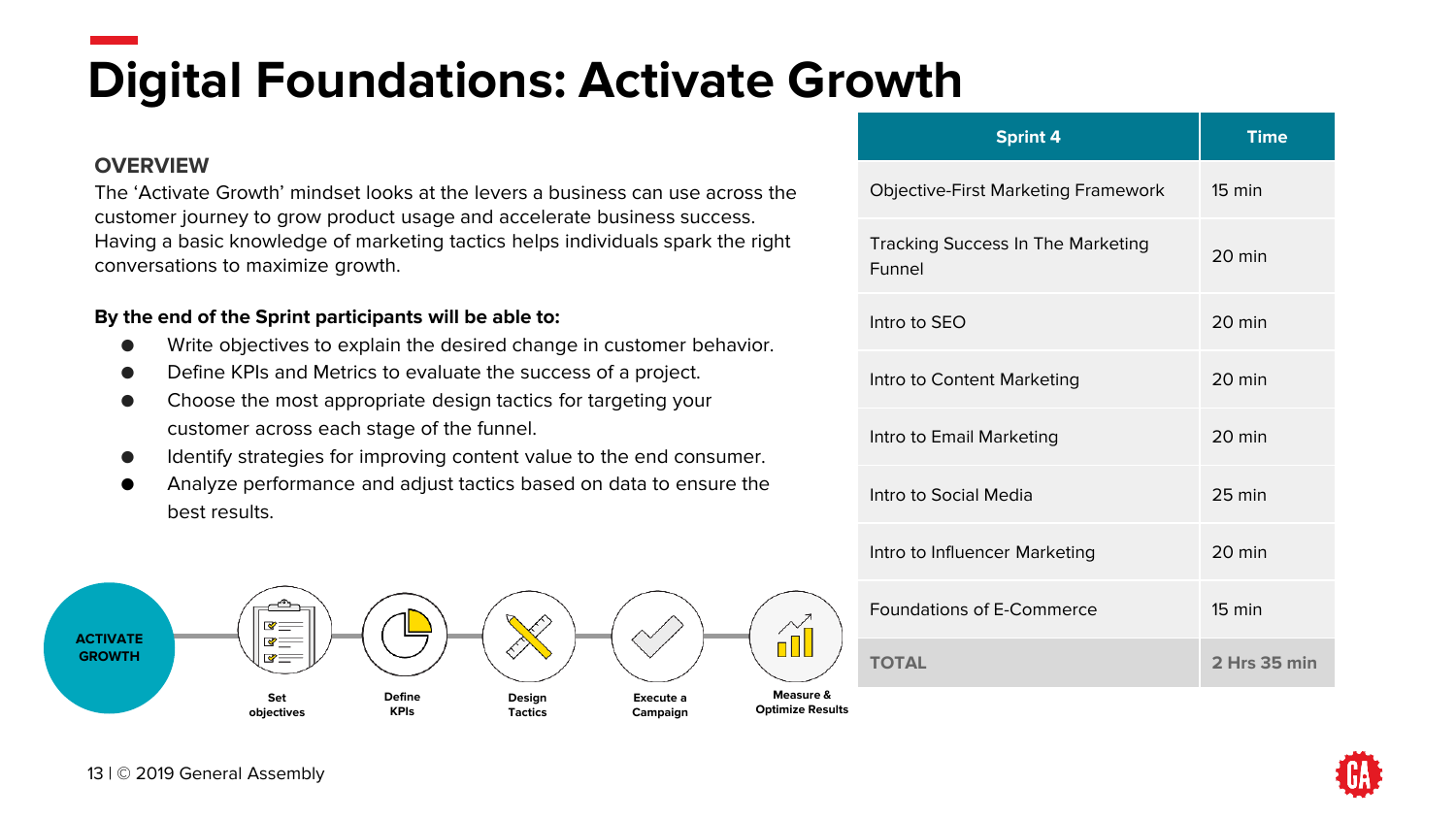**Digital Foundations: Activate Growth** 

#### **OVERVIEW**

The 'Activate Growth' mindset looks at the levers a business can use across the customer journey to grow product usage and accelerate business success. Having a basic knowledge of marketing tactics helps individuals spark the right conversations to maximize growth.

- Write objectives to explain the desired change in customer behavior.
- Define KPIs and Metrics to evaluate the success of a project.
- Choose the most appropriate design tactics for targeting your customer across each stage of the funnel.
- Identify strategies for improving content value to the end consumer.
- Analyze performance and adjust tactics based on data to ensure the best results.



| <b>Sprint 4</b>                                    | <b>Time</b>      |
|----------------------------------------------------|------------------|
| <b>Objective-First Marketing Framework</b>         | $15 \text{ min}$ |
| <b>Tracking Success In The Marketing</b><br>Funnel | $20 \text{ min}$ |
| Intro to SEO                                       | $20 \text{ min}$ |
| Intro to Content Marketing                         | $20 \text{ min}$ |
| Intro to Email Marketing                           | 20 min           |
| Intro to Social Media                              | 25 min           |
| Intro to Influencer Marketing                      | $20 \text{ min}$ |
| Foundations of E-Commerce                          | $15 \text{ min}$ |
| <b>TOTAL</b>                                       | 2 Hrs 35 min     |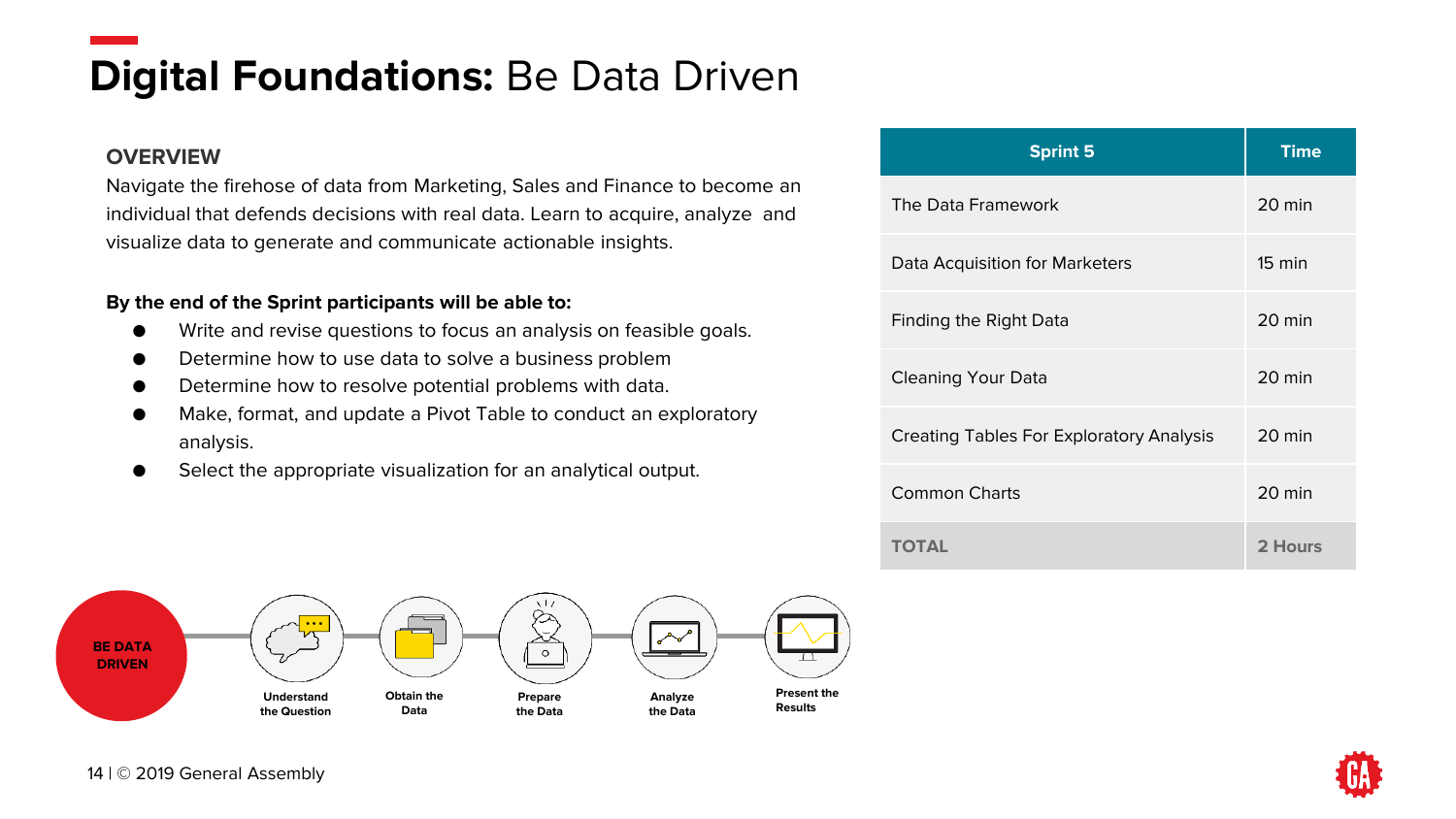### **Digital Foundations: Be Data Driven**

#### **OVERVIEW**

Navigate the firehose of data from Marketing, Sales and Finance to become an individual that defends decisions with real data. Learn to acquire, analyze and visualize data to generate and communicate actionable insights.

- Write and revise questions to focus an analysis on feasible goals.
- Determine how to use data to solve a business problem
- Determine how to resolve potential problems with data.
- Make, format, and update a Pivot Table to conduct an exploratory analysis.
- Select the appropriate visualization for an analytical output.



| <b>Sprint 5</b>                          | <b>Time</b>      |
|------------------------------------------|------------------|
| The Data Framework                       | 20 min           |
| Data Acquisition for Marketers           | $15 \text{ min}$ |
| Finding the Right Data                   | 20 min           |
| Cleaning Your Data                       | 20 min           |
| Creating Tables For Exploratory Analysis | 20 min           |
| <b>Common Charts</b>                     | 20 min           |
| <b>TOTAL</b>                             | 2 Hours          |

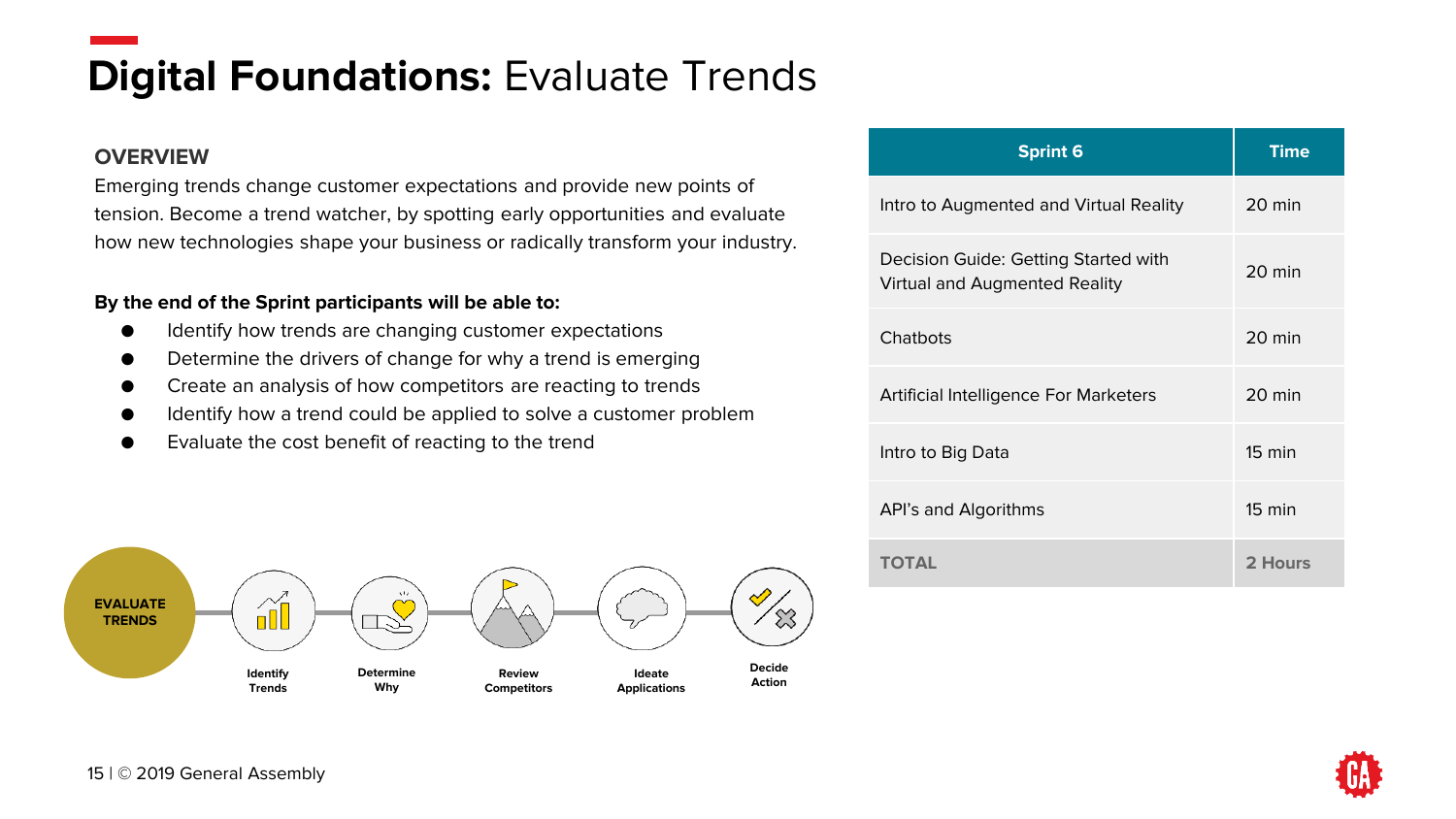### **Digital Foundations: Evaluate Trends**

#### **OVERVIEW**

Emerging trends change customer expectations and provide new points of tension. Become a trend watcher, by spotting early opportunities and evaluate how new technologies shape your business or radically transform your industry.

- Identify how trends are changing customer expectations
- Determine the drivers of change for why a trend is emerging
- Create an analysis of how competitors are reacting to trends
- Identify how a trend could be applied to solve a customer problem
- Evaluate the cost benefit of reacting to the trend



| <b>Sprint 6</b>                                                       | <b>Time</b>      |
|-----------------------------------------------------------------------|------------------|
| Intro to Augmented and Virtual Reality                                | 20 min           |
| Decision Guide: Getting Started with<br>Virtual and Augmented Reality | 20 min           |
| Chatbots                                                              | 20 min           |
| Artificial Intelligence For Marketers                                 | 20 min           |
| Intro to Big Data                                                     | $15 \text{ min}$ |
| API's and Algorithms                                                  | $15 \text{ min}$ |
| <b>TOTAL</b>                                                          | 2 Hours          |

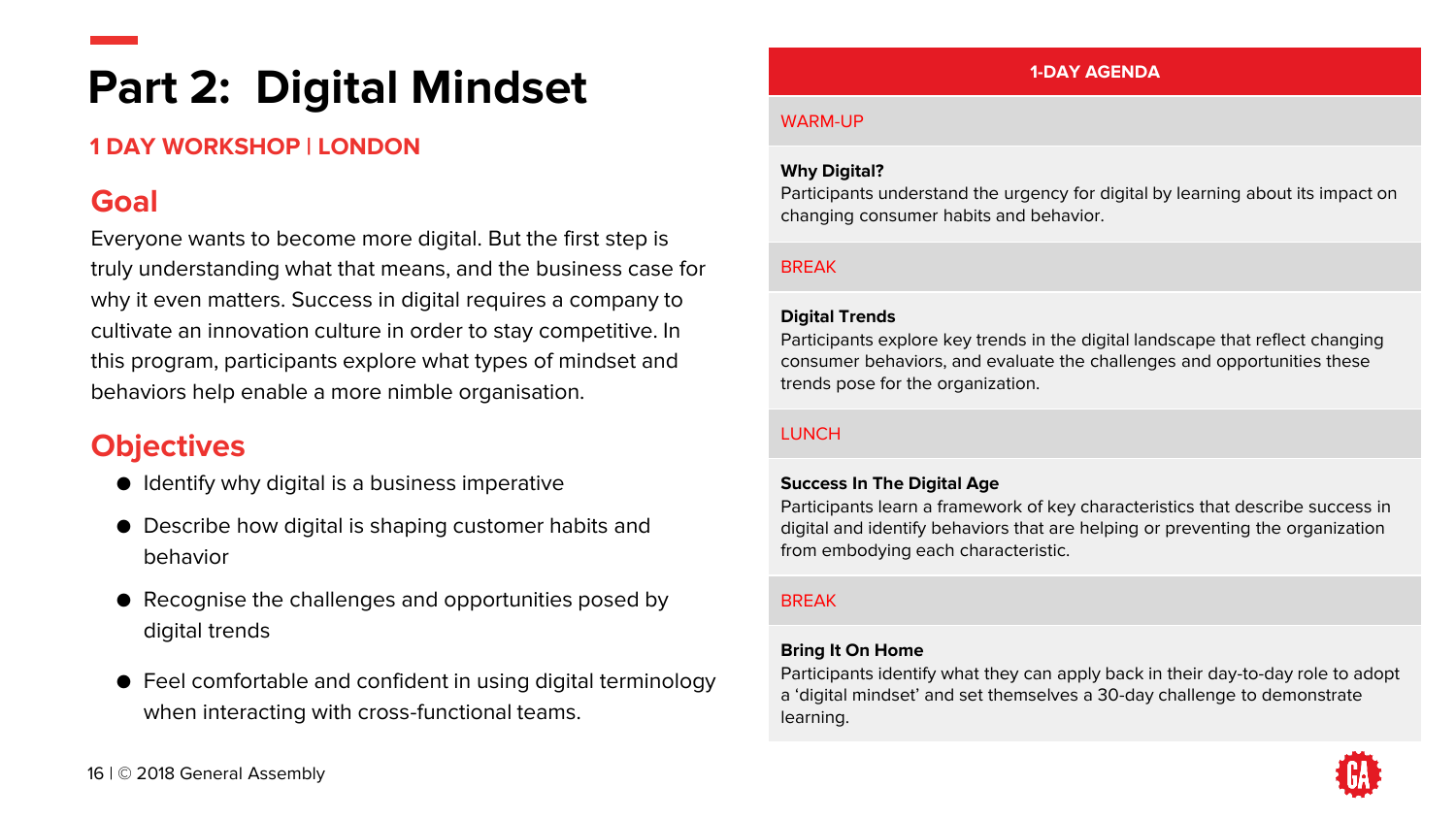### **Part 2: Digital Mindset**

#### **1 DAY WORKSHOP | LONDON**

### **Goal**

Everyone wants to become more digital. But the first step is truly understanding what that means, and the business case for why it even matters. Success in digital requires a company to cultivate an innovation culture in order to stay competitive. In this program, participants explore what types of mindset and behaviors help enable a more nimble organisation.

### **Objectives**

- Identify why digital is a business imperative
- Describe how digital is shaping customer habits and behavior
- Recognise the challenges and opportunities posed by digital trends
- Feel comfortable and confident in using digital terminology when interacting with cross-functional teams.

#### **1-DAY AGENDA**

#### WARM-UP

#### **Why Digital?**

Participants understand the urgency for digital by learning about its impact on changing consumer habits and behavior.

#### BREAK

#### **Digital Trends**

Participants explore key trends in the digital landscape that reflect changing consumer behaviors, and evaluate the challenges and opportunities these trends pose for the organization.

#### **LUNCH**

#### **Success In The Digital Age**

Participants learn a framework of key characteristics that describe success in digital and identify behaviors that are helping or preventing the organization from embodying each characteristic.

#### BREAK

#### **Bring It On Home**

Participants identify what they can apply back in their day-to-day role to adopt a 'digital mindset' and set themselves a 30-day challenge to demonstrate learning.

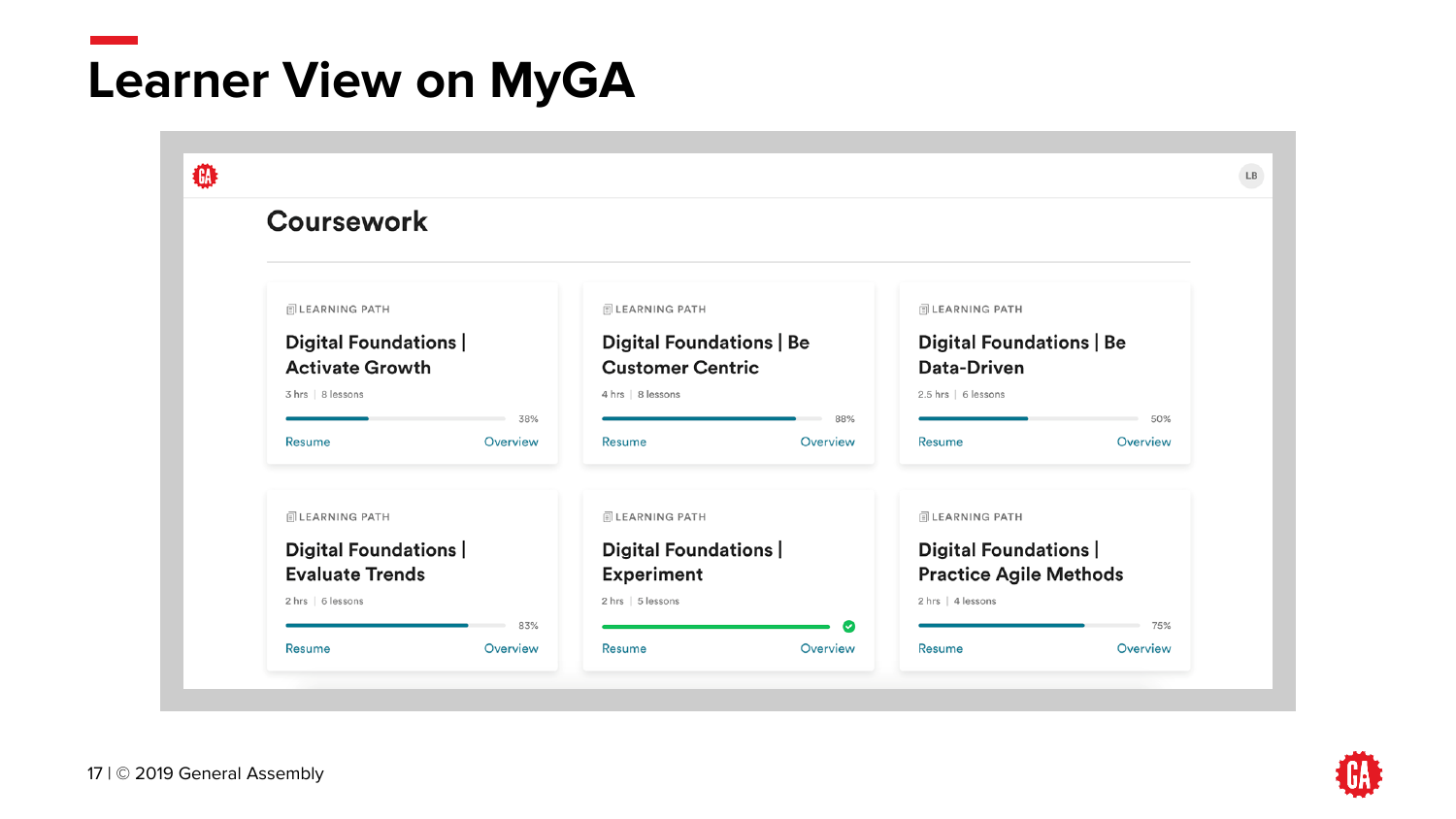# **Learner View on MyGA**

| <b>Coursework</b>            |                         |                                 |           |                                 |          |
|------------------------------|-------------------------|---------------------------------|-----------|---------------------------------|----------|
| <b>同LEARNING PATH</b>        |                         | <b>同 LEARNING PATH</b>          |           | <b>同 LEARNING PATH</b>          |          |
| Digital Foundations          |                         | <b>Digital Foundations   Be</b> |           | <b>Digital Foundations   Be</b> |          |
| <b>Activate Growth</b>       | <b>Customer Centric</b> |                                 |           | Data-Driven                     |          |
| 3 hrs   8 lessons            |                         | 4 hrs   8 lessons               |           | 2.5 hrs   6 lessons             |          |
|                              | 38%                     |                                 | 88%       |                                 | 50%      |
| <b>Resume</b>                | Overview                | <b>Resume</b>                   | Overview  | <b>Resume</b>                   | Overview |
| <b>同LEARNING PATH</b>        |                         | <b>同 LEARNING PATH</b>          |           | <b>同 LEARNING PATH</b>          |          |
| <b>Digital Foundations  </b> |                         | Digital Foundations             |           | Digital Foundations             |          |
| <b>Evaluate Trends</b>       |                         | <b>Experiment</b>               |           | <b>Practice Agile Methods</b>   |          |
| 2 hrs   6 lessons            |                         | 2 hrs   5 lessons               |           | 2 hrs   4 lessons               |          |
|                              | 83%                     |                                 | $\bullet$ |                                 | 75%      |
| Resume                       | Overview                | Resume                          | Overview  | <b>Resume</b>                   | Overview |